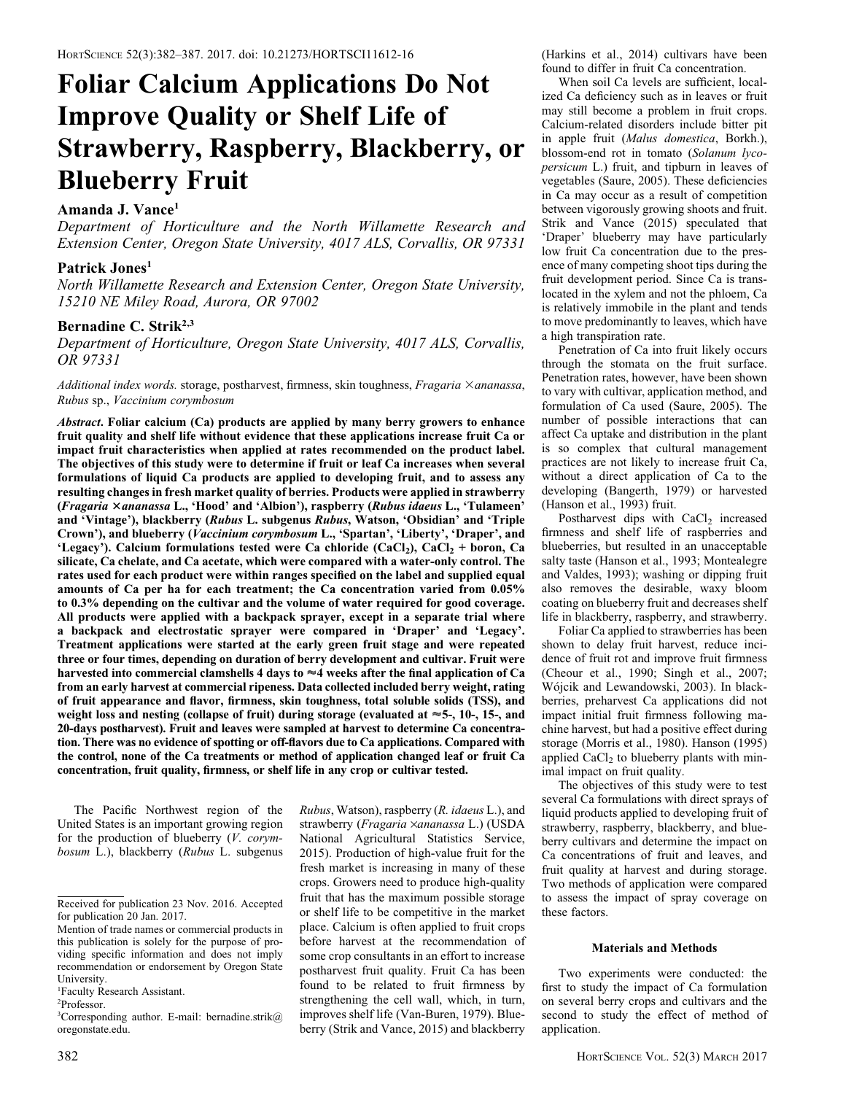# Foliar Calcium Applications Do Not Improve Quality or Shelf Life of Strawberry, Raspberry, Blackberry, or Blueberry Fruit

# Amanda J. Vance<sup>1</sup>

Department of Horticulture and the North Willamette Research and Extension Center, Oregon State University, 4017 ALS, Corvallis, OR 97331

# Patrick Jones<sup>1</sup>

North Willamette Research and Extension Center, Oregon State University, 15210 NE Miley Road, Aurora, OR 97002

# Bernadine C. Strik<sup>2,3</sup>

Department of Horticulture, Oregon State University, 4017 ALS, Corvallis, OR 97331

Additional index words. storage, postharvest, firmness, skin toughness, Fragaria  $\times$ ananassa, Rubus sp., Vaccinium corymbosum

Abstract. Foliar calcium (Ca) products are applied by many berry growers to enhance fruit quality and shelf life without evidence that these applications increase fruit Ca or impact fruit characteristics when applied at rates recommended on the product label. The objectives of this study were to determine if fruit or leaf Ca increases when several formulations of liquid Ca products are applied to developing fruit, and to assess any resulting changes in fresh market quality of berries. Products were applied in strawberry (Fragaria 3ananassa L., 'Hood' and 'Albion'), raspberry (Rubus idaeus L., 'Tulameen' and 'Vintage'), blackberry (Rubus L. subgenus Rubus, Watson, 'Obsidian' and 'Triple Crown'), and blueberry (Vaccinium corymbosum L., 'Spartan', 'Liberty', 'Draper', and 'Legacy'). Calcium formulations tested were Ca chloride (CaCl<sub>2</sub>), CaCl<sub>2</sub> + boron, Ca silicate, Ca chelate, and Ca acetate, which were compared with a water-only control. The rates used for each product were within ranges specified on the label and supplied equal amounts of Ca per ha for each treatment; the Ca concentration varied from 0.05% to 0.3% depending on the cultivar and the volume of water required for good coverage. All products were applied with a backpack sprayer, except in a separate trial where a backpack and electrostatic sprayer were compared in 'Draper' and 'Legacy'. Treatment applications were started at the early green fruit stage and were repeated three or four times, depending on duration of berry development and cultivar. Fruit were harvested into commercial clamshells 4 days to  $\approx$  4 weeks after the final application of Ca from an early harvest at commercial ripeness. Data collected included berry weight, rating of fruit appearance and flavor, firmness, skin toughness, total soluble solids (TSS), and weight loss and nesting (collapse of fruit) during storage (evaluated at  $\approx$  5-, 10-, 15-, and 20-days postharvest). Fruit and leaves were sampled at harvest to determine Ca concentration. There was no evidence of spotting or off-flavors due to Ca applications. Compared with the control, none of the Ca treatments or method of application changed leaf or fruit Ca concentration, fruit quality, firmness, or shelf life in any crop or cultivar tested.

The Pacific Northwest region of the United States is an important growing region for the production of blueberry  $(V. \text{corvm-}$ bosum L.), blackberry (Rubus L. subgenus

fruit that has the maximum possible storage or shelf life to be competitive in the market place. Calcium is often applied to fruit crops before harvest at the recommendation of some crop consultants in an effort to increase postharvest fruit quality. Fruit Ca has been found to be related to fruit firmness by strengthening the cell wall, which, in turn, improves shelf life (Van-Buren, 1979). Blueberry (Strik and Vance, 2015) and blackberry

Rubus, Watson), raspberry (R. idaeus L.), and strawberry (Fragaria ×ananassa L.) (USDA National Agricultural Statistics Service, 2015). Production of high-value fruit for the fresh market is increasing in many of these crops. Growers need to produce high-quality

(Harkins et al., 2014) cultivars have been found to differ in fruit Ca concentration.

When soil Ca levels are sufficient, localized Ca deficiency such as in leaves or fruit may still become a problem in fruit crops. Calcium-related disorders include bitter pit in apple fruit (Malus domestica, Borkh.), blossom-end rot in tomato (Solanum lycopersicum L.) fruit, and tipburn in leaves of vegetables (Saure, 2005). These deficiencies in Ca may occur as a result of competition between vigorously growing shoots and fruit. Strik and Vance (2015) speculated that 'Draper' blueberry may have particularly low fruit Ca concentration due to the presence of many competing shoot tips during the fruit development period. Since Ca is translocated in the xylem and not the phloem, Ca is relatively immobile in the plant and tends to move predominantly to leaves, which have a high transpiration rate.

Penetration of Ca into fruit likely occurs through the stomata on the fruit surface. Penetration rates, however, have been shown to vary with cultivar, application method, and formulation of Ca used (Saure, 2005). The number of possible interactions that can affect Ca uptake and distribution in the plant is so complex that cultural management practices are not likely to increase fruit Ca, without a direct application of Ca to the developing (Bangerth, 1979) or harvested (Hanson et al., 1993) fruit.

Postharvest dips with CaCl<sub>2</sub> increased firmness and shelf life of raspberries and blueberries, but resulted in an unacceptable salty taste (Hanson et al., 1993; Montealegre and Valdes, 1993); washing or dipping fruit also removes the desirable, waxy bloom coating on blueberry fruit and decreases shelf life in blackberry, raspberry, and strawberry.

Foliar Ca applied to strawberries has been shown to delay fruit harvest, reduce incidence of fruit rot and improve fruit firmness (Cheour et al., 1990; Singh et al., 2007; Wojcik and Lewandowski, 2003). In blackberries, preharvest Ca applications did not impact initial fruit firmness following machine harvest, but had a positive effect during storage (Morris et al., 1980). Hanson (1995) applied  $CaCl<sub>2</sub>$  to blueberry plants with minimal impact on fruit quality.

The objectives of this study were to test several Ca formulations with direct sprays of liquid products applied to developing fruit of strawberry, raspberry, blackberry, and blueberry cultivars and determine the impact on Ca concentrations of fruit and leaves, and fruit quality at harvest and during storage. Two methods of application were compared to assess the impact of spray coverage on these factors.

## Materials and Methods

Two experiments were conducted: the first to study the impact of Ca formulation on several berry crops and cultivars and the second to study the effect of method of application.

Received for publication 23 Nov. 2016. Accepted for publication 20 Jan. 2017.

Mention of trade names or commercial products in this publication is solely for the purpose of providing specific information and does not imply recommendation or endorsement by Oregon State University.

<sup>1</sup> Faculty Research Assistant.

<sup>2</sup> Professor.

<sup>3</sup> Corresponding author. E-mail: bernadine.strik@ oregonstate.edu.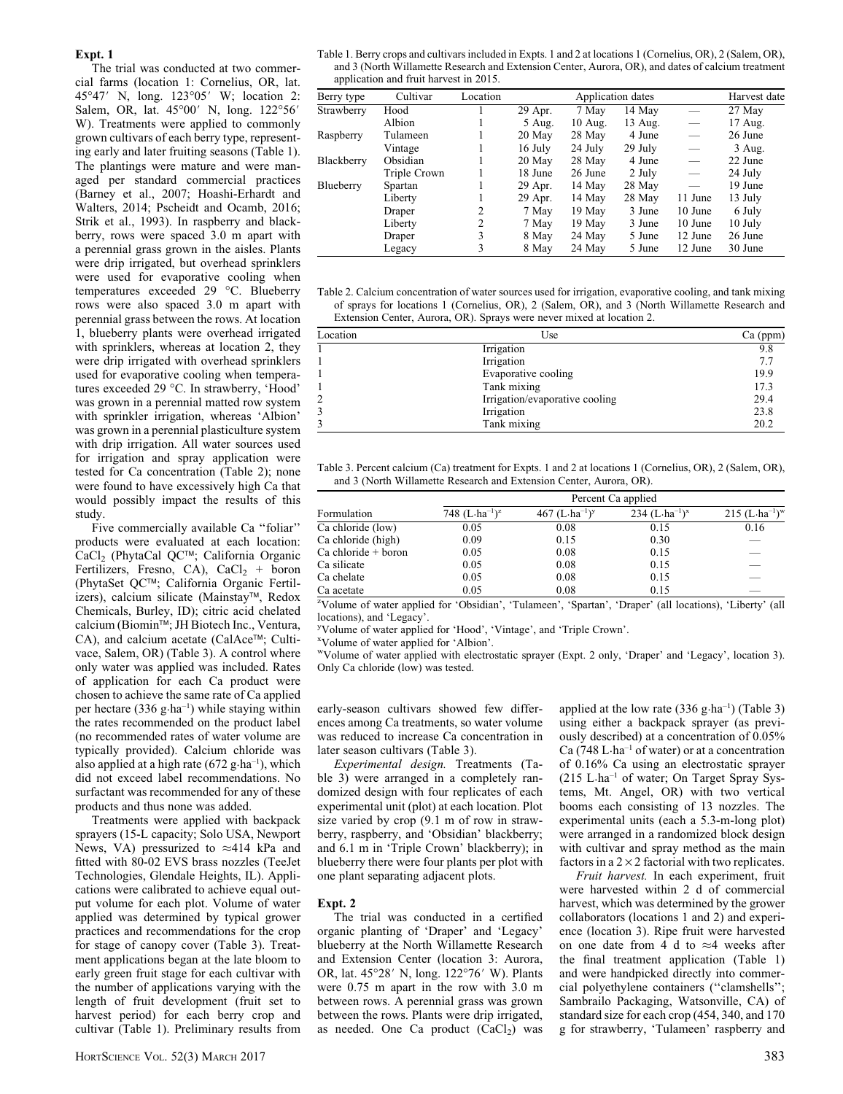### Expt. 1

The trial was conducted at two commercial farms (location 1: Cornelius, OR, lat. 45°47′ N, long. 123°05′ W; location 2: Salem, OR, lat. 45°00' N, long. 122°56' W). Treatments were applied to commonly grown cultivars of each berry type, representing early and later fruiting seasons (Table 1). The plantings were mature and were managed per standard commercial practices (Barney et al., 2007; Hoashi-Erhardt and Walters, 2014; Pscheidt and Ocamb, 2016; Strik et al., 1993). In raspberry and blackberry, rows were spaced 3.0 m apart with a perennial grass grown in the aisles. Plants were drip irrigated, but overhead sprinklers were used for evaporative cooling when temperatures exceeded 29 °C. Blueberry rows were also spaced 3.0 m apart with perennial grass between the rows. At location 1, blueberry plants were overhead irrigated with sprinklers, whereas at location 2, they were drip irrigated with overhead sprinklers used for evaporative cooling when temperatures exceeded 29 °C. In strawberry, 'Hood' was grown in a perennial matted row system with sprinkler irrigation, whereas 'Albion' was grown in a perennial plasticulture system with drip irrigation. All water sources used for irrigation and spray application were tested for Ca concentration (Table 2); none were found to have excessively high Ca that would possibly impact the results of this study.

Five commercially available Ca ''foliar'' products were evaluated at each location: CaCl<sub>2</sub> (PhytaCal QC™; California Organic Fertilizers, Fresno, CA), CaCl<sub>2</sub> + boron (PhytaSet QC™; California Organic Fertilizers), calcium silicate (Mainstay™, Redox Chemicals, Burley, ID); citric acid chelated calcium (Biomin<sup>™</sup>; JH Biotech Inc., Ventura, CA), and calcium acetate (CalAce™; Cultivace, Salem, OR) (Table 3). A control where only water was applied was included. Rates of application for each Ca product were chosen to achieve the same rate of Ca applied per hectare  $(336 \text{ g} \cdot \text{ha}^{-1})$  while staying within the rates recommended on the product label (no recommended rates of water volume are typically provided). Calcium chloride was also applied at a high rate  $(672 \text{ g} \cdot \text{ha}^{-1})$ , which did not exceed label recommendations. No surfactant was recommended for any of these products and thus none was added.

Treatments were applied with backpack sprayers (15-L capacity; Solo USA, Newport News, VA) pressurized to  $\approx$ 414 kPa and fitted with 80-02 EVS brass nozzles (TeeJet Technologies, Glendale Heights, IL). Applications were calibrated to achieve equal output volume for each plot. Volume of water applied was determined by typical grower practices and recommendations for the crop for stage of canopy cover (Table 3). Treatment applications began at the late bloom to early green fruit stage for each cultivar with the number of applications varying with the length of fruit development (fruit set to harvest period) for each berry crop and cultivar (Table 1). Preliminary results from

Table 1. Berry crops and cultivars included in Expts. 1 and 2 at locations 1 (Cornelius, OR), 2 (Salem, OR), and 3 (North Willamette Research and Extension Center, Aurora, OR), and dates of calcium treatment application and fruit harvest in 2015.

| Berry type | Cultivar     | Location |          | Harvest date |         |         |          |
|------------|--------------|----------|----------|--------------|---------|---------|----------|
| Strawberry | Hood         |          | 29 Apr.  | 7 May        | 14 May  |         | 27 May   |
|            | Albion       |          | $5$ Aug. | $10$ Aug.    | 13 Aug. | -       | 17 Aug.  |
| Raspberry  | Tulameen     |          | 20 May   | 28 May       | 4 June  |         | 26 June  |
|            | Vintage      |          | 16 July  | 24 July      | 29 July |         | $3$ Aug. |
| Blackberry | Obsidian     |          | 20 May   | 28 May       | 4 June  |         | 22 June  |
|            | Triple Crown |          | 18 June  | 26 June      | 2 July  |         | 24 July  |
| Blueberry  | Spartan      |          | 29 Apr.  | 14 May       | 28 May  |         | 19 June  |
|            | Liberty      |          | 29 Apr.  | 14 May       | 28 May  | 11 June | 13 July  |
|            | Draper       | 2        | 7 May    | 19 May       | 3 June  | 10 June | 6 July   |
|            | Liberty      | 2        | 7 May    | 19 May       | 3 June  | 10 June | 10 July  |
|            | Draper       | 3        | 8 May    | 24 May       | 5 June  | 12 June | 26 June  |
|            | Legacy       | 3        | 8 May    | 24 May       | 5 June  | 12 June | 30 June  |

Table 2. Calcium concentration of water sources used for irrigation, evaporative cooling, and tank mixing of sprays for locations 1 (Cornelius, OR), 2 (Salem, OR), and 3 (North Willamette Research and Extension Center, Aurora, OR). Sprays were never mixed at location 2.

| Location | Use                            | $Ca$ (ppm) |
|----------|--------------------------------|------------|
|          | Irrigation                     | 9.8        |
|          | Irrigation                     | 7.7        |
|          | Evaporative cooling            | 19.9       |
|          | Tank mixing                    | 17.3       |
| 2        | Irrigation/evaporative cooling | 29.4       |
|          | Irrigation                     | 23.8       |
|          | Tank mixing                    | 20.2       |

Table 3. Percent calcium (Ca) treatment for Expts. 1 and 2 at locations 1 (Cornelius, OR), 2 (Salem, OR), and 3 (North Willamette Research and Extension Center, Aurora, OR).

|                       | Percent Ca applied        |                           |                                                |                                          |  |  |  |  |  |
|-----------------------|---------------------------|---------------------------|------------------------------------------------|------------------------------------------|--|--|--|--|--|
| Formulation           | 748 $(L \cdot ha^{-1})^z$ | 467 $(L \cdot ha^{-1})^y$ | 234 (L $\cdot$ ha <sup>-1</sup> ) <sup>x</sup> | $215$ (L·ha <sup>-1</sup> ) <sup>w</sup> |  |  |  |  |  |
| Ca chloride (low)     | 0.05                      | 0.08                      | 0.15                                           | 0.16                                     |  |  |  |  |  |
| Ca chloride (high)    | 0.09                      | 0.15                      | 0.30                                           |                                          |  |  |  |  |  |
| $Ca$ chloride + boron | 0.05                      | 0.08                      | 0.15                                           | __                                       |  |  |  |  |  |
| Ca silicate           | 0.05                      | 0.08                      | 0.15                                           | _                                        |  |  |  |  |  |
| Ca chelate            | 0.05                      | 0.08                      | 0.15                                           | __                                       |  |  |  |  |  |
| Ca acetate            | 0.05                      | 0.08                      | 0.15                                           |                                          |  |  |  |  |  |

<sup>z</sup>Volume of water applied for 'Obsidian', 'Tulameen', 'Spartan', 'Draper' (all locations), 'Liberty' (all locations), and 'Legacy'.

<sup>y</sup>Volume of water applied for 'Hood', 'Vintage', and 'Triple Crown'.

x Volume of water applied for 'Albion'.

wVolume of water applied with electrostatic sprayer (Expt. 2 only, 'Draper' and 'Legacy', location 3). Only Ca chloride (low) was tested.

early-season cultivars showed few differences among Ca treatments, so water volume was reduced to increase Ca concentration in later season cultivars (Table 3).

Experimental design. Treatments (Table 3) were arranged in a completely randomized design with four replicates of each experimental unit (plot) at each location. Plot size varied by crop (9.1 m of row in strawberry, raspberry, and 'Obsidian' blackberry; and 6.1 m in 'Triple Crown' blackberry); in blueberry there were four plants per plot with one plant separating adjacent plots.

## Expt. 2

The trial was conducted in a certified organic planting of 'Draper' and 'Legacy' blueberry at the North Willamette Research and Extension Center (location 3: Aurora, OR, lat. 45°28′ N, long. 122°76′ W). Plants were 0.75 m apart in the row with 3.0 m between rows. A perennial grass was grown between the rows. Plants were drip irrigated, as needed. One Ca product  $(CaCl<sub>2</sub>)$  was

applied at the low rate  $(336 \text{ g} \cdot \text{ha}^{-1})$  (Table 3) using either a backpack sprayer (as previously described) at a concentration of 0.05% Ca (748 L $\cdot$ ha<sup>-1</sup> of water) or at a concentration of 0.16% Ca using an electrostatic sprayer (215 L·ha–1 of water; On Target Spray Systems, Mt. Angel, OR) with two vertical booms each consisting of 13 nozzles. The experimental units (each a 5.3-m-long plot) were arranged in a randomized block design with cultivar and spray method as the main factors in a  $2 \times 2$  factorial with two replicates.

Fruit harvest. In each experiment, fruit were harvested within 2 d of commercial harvest, which was determined by the grower collaborators (locations 1 and 2) and experience (location 3). Ripe fruit were harvested on one date from 4 d to  $\approx$  4 weeks after the final treatment application (Table 1) and were handpicked directly into commercial polyethylene containers (''clamshells''; Sambrailo Packaging, Watsonville, CA) of standard size for each crop (454, 340, and 170 g for strawberry, 'Tulameen' raspberry and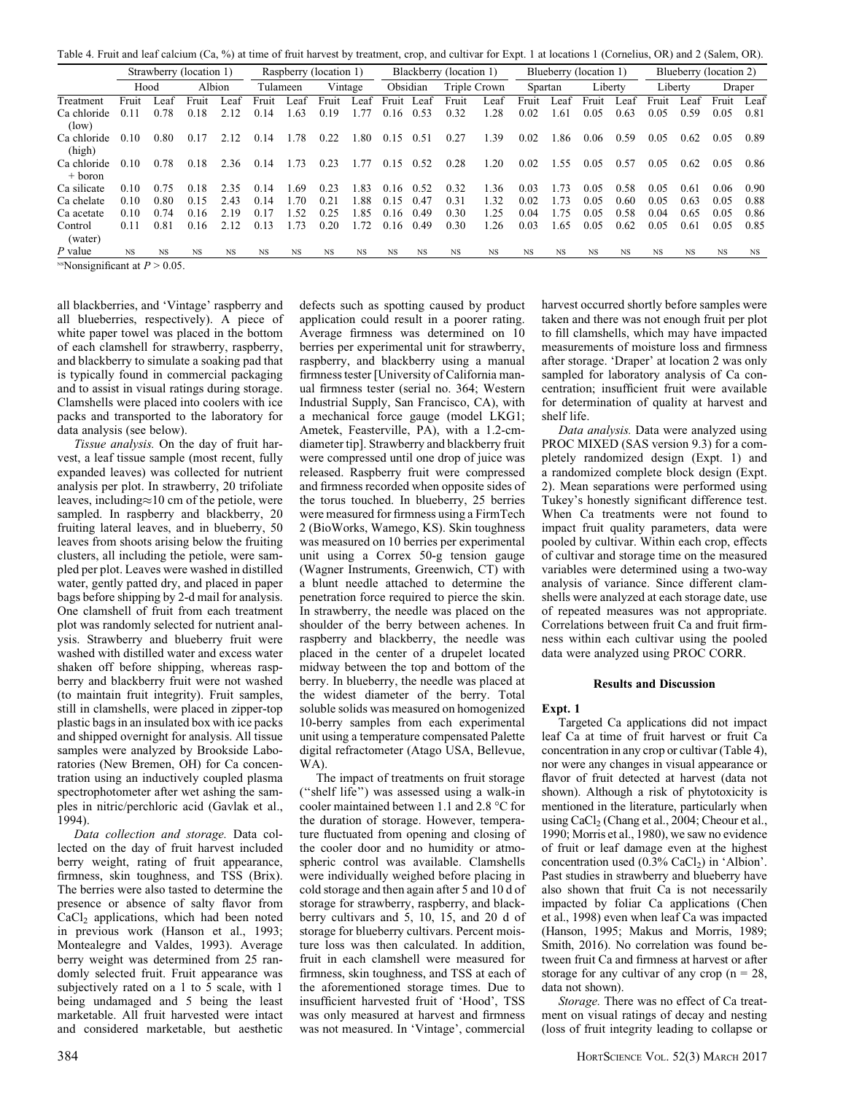Table 4. Fruit and leaf calcium (Ca, %) at time of fruit harvest by treatment, crop, and cultivar for Expt. 1 at locations 1 (Cornelius, OR) and 2 (Salem, OR).

|                          | Strawberry (location 1)                      |           |           | Raspberry (location 1) |          |           | Blackberry (location 1) |         |           | Blueberry (location 1) |           |              | Blueberry (location 2) |           |           |           |           |           |           |      |
|--------------------------|----------------------------------------------|-----------|-----------|------------------------|----------|-----------|-------------------------|---------|-----------|------------------------|-----------|--------------|------------------------|-----------|-----------|-----------|-----------|-----------|-----------|------|
|                          |                                              | Hood      | Albion    |                        | Tulameen |           |                         | Vintage | Obsidian  |                        |           | Triple Crown | Spartan                |           |           | Liberty   | Liberty   |           | Draper    |      |
| Treatment                | Fruit                                        | eat       | Fruit     | Leaf                   | Fruit    | . .ea+    | Fruit                   | ∟eaf    | Fruit     | Leaf                   | Fruit     | Leaf         | Fruit                  | . .ea     | Fruit     | .eat      | Fruit     | eaf       | Fruit     | Leaf |
| Ca chloride<br>(low)     | 0.11                                         | 0.78      | 0.18      | 2.12                   | 0.14     | 1.63      | 0.19                    | 1.77    | 0.16      | 0.53                   | 0.32      | 1.28         | 0.02                   | 1.61      | 0.05      | 0.63      | 0.05      | 0.59      | 0.05      | 0.81 |
| Ca chloride<br>(high)    | 0.10                                         | 0.80      | 0.17      | 2.12                   | 0.14     | 1.78      | 0.22                    | .80     | 0.15      | 0.51                   | 0.27      | .39          | 0.02                   | .86       | 0.06      | 0.59      | 0.05      | 0.62      | 0.05      | 0.89 |
| Ca chloride<br>$+$ boron | 0.10                                         | 0.78      | 0.18      | 2.36                   | 0.14     | 0.73      | 0.23                    |         | 0.15      | 0.52                   | 0.28      | .20          | 0.02                   | l.55      | 0.05      | 0.57      | 0.05      | 0.62      | 0.05      | 0.86 |
| Ca silicate              | 0.10                                         | 0.75      | 0.18      | 2.35                   | 0.14     | .69       | 0.23                    | 1.83    | 0.16      | 0.52                   | 0.32      | .36          | 0.03                   | .73       | 0.05      | 0.58      | 0.05      | 0.61      | 0.06      | 0.90 |
| Ca chelate               | 0.10                                         | 0.80      | 0.15      | 2.43                   | 0.14     | 170       | 0.21                    | .88     | 0.15      | 0.47                   | 0.31      | 1.32         | 0.02                   | 1.73      | 0.05      | 0.60      | 0.05      | 0.63      | 0.05      | 0.88 |
| Ca acetate               | 0.10                                         | 0.74      | 0.16      | 2.19                   | 0.17     | .52       | 0.25                    | l.85    | 0.16      | 0.49                   | 0.30      | 1.25         | 0.04                   | .75       | 0.05      | 0.58      | 0.04      | 0.65      | 0.05      | 0.86 |
| Control<br>(water)       | 0.11                                         | 0.81      | 0.16      | 2.12                   | 0.13     | 1.73      | 0.20                    | 1.72    | 0.16      | 0.49                   | 0.30      | .26          | 0.03                   | 1.65      | 0.05      | 0.62      | 0.05      | 0.61      | 0.05      | 0.85 |
| P value                  | <b>NS</b>                                    | <b>NS</b> | <b>NS</b> | <b>NS</b>              | NS.      | <b>NS</b> | <b>NS</b>               | NS      | <b>NS</b> | <b>NS</b>              | <b>NS</b> | <b>NS</b>    | <b>NS</b>              | <b>NS</b> | <b>NS</b> | <b>NS</b> | <b>NS</b> | <b>NS</b> | <b>NS</b> | NS   |
|                          | <sup>NS</sup> Nonsignificant at $P > 0.05$ . |           |           |                        |          |           |                         |         |           |                        |           |              |                        |           |           |           |           |           |           |      |

all blackberries, and 'Vintage' raspberry and all blueberries, respectively). A piece of white paper towel was placed in the bottom of each clamshell for strawberry, raspberry, and blackberry to simulate a soaking pad that is typically found in commercial packaging and to assist in visual ratings during storage. Clamshells were placed into coolers with ice packs and transported to the laboratory for data analysis (see below).

Tissue analysis. On the day of fruit harvest, a leaf tissue sample (most recent, fully expanded leaves) was collected for nutrient analysis per plot. In strawberry, 20 trifoliate leaves, including $\approx$ 10 cm of the petiole, were sampled. In raspberry and blackberry, 20 fruiting lateral leaves, and in blueberry, 50 leaves from shoots arising below the fruiting clusters, all including the petiole, were sampled per plot. Leaves were washed in distilled water, gently patted dry, and placed in paper bags before shipping by 2-d mail for analysis. One clamshell of fruit from each treatment plot was randomly selected for nutrient analysis. Strawberry and blueberry fruit were washed with distilled water and excess water shaken off before shipping, whereas raspberry and blackberry fruit were not washed (to maintain fruit integrity). Fruit samples, still in clamshells, were placed in zipper-top plastic bags in an insulated box with ice packs and shipped overnight for analysis. All tissue samples were analyzed by Brookside Laboratories (New Bremen, OH) for Ca concentration using an inductively coupled plasma spectrophotometer after wet ashing the samples in nitric/perchloric acid (Gavlak et al., 1994).

Data collection and storage. Data collected on the day of fruit harvest included berry weight, rating of fruit appearance, firmness, skin toughness, and TSS (Brix). The berries were also tasted to determine the presence or absence of salty flavor from CaCl<sub>2</sub> applications, which had been noted in previous work (Hanson et al., 1993; Montealegre and Valdes, 1993). Average berry weight was determined from 25 randomly selected fruit. Fruit appearance was subjectively rated on a 1 to 5 scale, with 1 being undamaged and 5 being the least marketable. All fruit harvested were intact and considered marketable, but aesthetic

defects such as spotting caused by product application could result in a poorer rating. Average firmness was determined on 10 berries per experimental unit for strawberry, raspberry, and blackberry using a manual firmness tester [University of California manual firmness tester (serial no. 364; Western Industrial Supply, San Francisco, CA), with a mechanical force gauge (model LKG1; Ametek, Feasterville, PA), with a 1.2-cmdiameter tip]. Strawberry and blackberry fruit were compressed until one drop of juice was released. Raspberry fruit were compressed and firmness recorded when opposite sides of the torus touched. In blueberry, 25 berries were measured for firmness using a FirmTech 2 (BioWorks, Wamego, KS). Skin toughness was measured on 10 berries per experimental unit using a Correx 50-g tension gauge (Wagner Instruments, Greenwich, CT) with a blunt needle attached to determine the penetration force required to pierce the skin. In strawberry, the needle was placed on the shoulder of the berry between achenes. In raspberry and blackberry, the needle was placed in the center of a drupelet located midway between the top and bottom of the berry. In blueberry, the needle was placed at the widest diameter of the berry. Total soluble solids was measured on homogenized 10-berry samples from each experimental unit using a temperature compensated Palette digital refractometer (Atago USA, Bellevue, WA).

The impact of treatments on fruit storage (''shelf life'') was assessed using a walk-in cooler maintained between 1.1 and 2.8  $\degree$ C for the duration of storage. However, temperature fluctuated from opening and closing of the cooler door and no humidity or atmospheric control was available. Clamshells were individually weighed before placing in cold storage and then again after 5 and 10 d of storage for strawberry, raspberry, and blackberry cultivars and 5, 10, 15, and 20 d of storage for blueberry cultivars. Percent moisture loss was then calculated. In addition, fruit in each clamshell were measured for firmness, skin toughness, and TSS at each of the aforementioned storage times. Due to insufficient harvested fruit of 'Hood', TSS was only measured at harvest and firmness was not measured. In 'Vintage', commercial

harvest occurred shortly before samples were taken and there was not enough fruit per plot to fill clamshells, which may have impacted measurements of moisture loss and firmness after storage. 'Draper' at location 2 was only sampled for laboratory analysis of Ca concentration; insufficient fruit were available for determination of quality at harvest and shelf life.

Data analysis. Data were analyzed using PROC MIXED (SAS version 9.3) for a completely randomized design (Expt. 1) and a randomized complete block design (Expt. 2). Mean separations were performed using Tukey's honestly significant difference test. When Ca treatments were not found to impact fruit quality parameters, data were pooled by cultivar. Within each crop, effects of cultivar and storage time on the measured variables were determined using a two-way analysis of variance. Since different clamshells were analyzed at each storage date, use of repeated measures was not appropriate. Correlations between fruit Ca and fruit firmness within each cultivar using the pooled data were analyzed using PROC CORR.

#### Results and Discussion

#### Expt. 1

Targeted Ca applications did not impact leaf Ca at time of fruit harvest or fruit Ca concentration in any crop or cultivar (Table 4), nor were any changes in visual appearance or flavor of fruit detected at harvest (data not shown). Although a risk of phytotoxicity is mentioned in the literature, particularly when using CaCl<sub>2</sub> (Chang et al., 2004; Cheour et al., 1990; Morris et al., 1980), we saw no evidence of fruit or leaf damage even at the highest concentration used  $(0.3\% \text{ CaCl}_2)$  in 'Albion'. Past studies in strawberry and blueberry have also shown that fruit Ca is not necessarily impacted by foliar Ca applications (Chen et al., 1998) even when leaf Ca was impacted (Hanson, 1995; Makus and Morris, 1989; Smith, 2016). No correlation was found between fruit Ca and firmness at harvest or after storage for any cultivar of any crop ( $n = 28$ , data not shown).

Storage. There was no effect of Ca treatment on visual ratings of decay and nesting (loss of fruit integrity leading to collapse or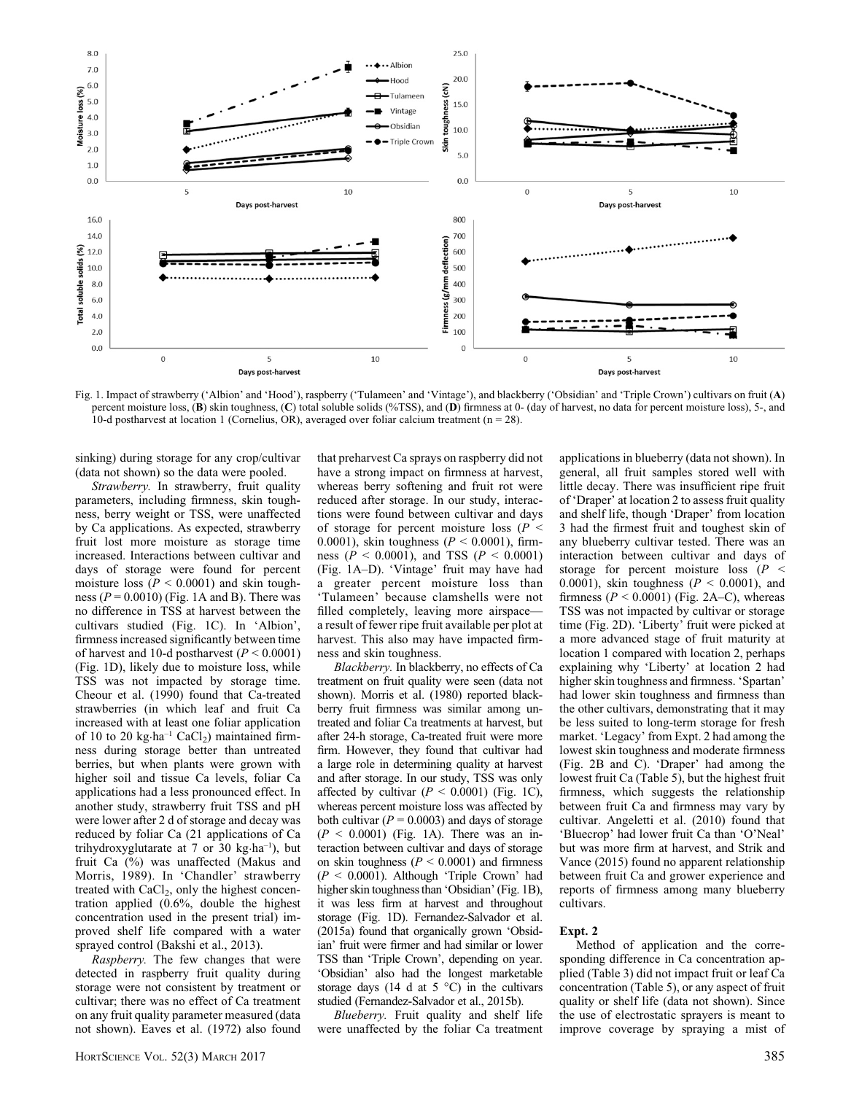

Fig. 1. Impact of strawberry ('Albion' and 'Hood'), raspberry ('Tulameen' and 'Vintage'), and blackberry ('Obsidian' and 'Triple Crown') cultivars on fruit (A) percent moisture loss, (B) skin toughness, (C) total soluble solids (%TSS), and (D) firmness at 0- (day of harvest, no data for percent moisture loss), 5-, and 10-d postharvest at location 1 (Cornelius, OR), averaged over foliar calcium treatment ( $n = 28$ ).

sinking) during storage for any crop/cultivar (data not shown) so the data were pooled.

Strawberry. In strawberry, fruit quality parameters, including firmness, skin toughness, berry weight or TSS, were unaffected by Ca applications. As expected, strawberry fruit lost more moisture as storage time increased. Interactions between cultivar and days of storage were found for percent moisture loss ( $P < 0.0001$ ) and skin toughness ( $P = 0.0010$ ) (Fig. 1A and B). There was no difference in TSS at harvest between the cultivars studied (Fig. 1C). In 'Albion', firmness increased significantly between time of harvest and 10-d postharvest  $(P < 0.0001)$ (Fig. 1D), likely due to moisture loss, while TSS was not impacted by storage time. Cheour et al. (1990) found that Ca-treated strawberries (in which leaf and fruit Ca increased with at least one foliar application of 10 to 20 kg $\cdot$ ha<sup>-1</sup> CaCl<sub>2</sub>) maintained firmness during storage better than untreated berries, but when plants were grown with higher soil and tissue Ca levels, foliar Ca applications had a less pronounced effect. In another study, strawberry fruit TSS and pH were lower after 2 d of storage and decay was reduced by foliar Ca (21 applications of Ca trihydroxyglutarate at 7 or 30 kg $\cdot$ ha<sup>-1</sup>), but fruit Ca (%) was unaffected (Makus and Morris, 1989). In 'Chandler' strawberry treated with  $CaCl<sub>2</sub>$ , only the highest concentration applied (0.6%, double the highest concentration used in the present trial) improved shelf life compared with a water sprayed control (Bakshi et al., 2013).

Raspberry. The few changes that were detected in raspberry fruit quality during storage were not consistent by treatment or cultivar; there was no effect of Ca treatment on any fruit quality parameter measured (data not shown). Eaves et al. (1972) also found that preharvest Ca sprays on raspberry did not have a strong impact on firmness at harvest, whereas berry softening and fruit rot were reduced after storage. In our study, interactions were found between cultivar and days of storage for percent moisture loss ( $P \leq$ 0.0001), skin toughness ( $P \le 0.0001$ ), firmness ( $P < 0.0001$ ), and TSS ( $P < 0.0001$ ) (Fig. 1A–D). 'Vintage' fruit may have had a greater percent moisture loss than 'Tulameen' because clamshells were not filled completely, leaving more airspacea result of fewer ripe fruit available per plot at harvest. This also may have impacted firmness and skin toughness.

Blackberry. In blackberry, no effects of Ca treatment on fruit quality were seen (data not shown). Morris et al. (1980) reported blackberry fruit firmness was similar among untreated and foliar Ca treatments at harvest, but after 24-h storage, Ca-treated fruit were more firm. However, they found that cultivar had a large role in determining quality at harvest and after storage. In our study, TSS was only affected by cultivar  $(P < 0.0001)$  (Fig. 1C), whereas percent moisture loss was affected by both cultivar ( $P = 0.0003$ ) and days of storage  $(P < 0.0001)$  (Fig. 1A). There was an interaction between cultivar and days of storage on skin toughness ( $P < 0.0001$ ) and firmness  $(P < 0.0001)$ . Although 'Triple Crown' had higher skin toughness than 'Obsidian' (Fig. 1B), it was less firm at harvest and throughout storage (Fig. 1D). Fernandez-Salvador et al. (2015a) found that organically grown 'Obsidian' fruit were firmer and had similar or lower TSS than 'Triple Crown', depending on year. 'Obsidian' also had the longest marketable storage days (14 d at  $5^{\circ}$ C) in the cultivars studied (Fernandez-Salvador et al., 2015b).

Blueberry. Fruit quality and shelf life were unaffected by the foliar Ca treatment applications in blueberry (data not shown). In general, all fruit samples stored well with little decay. There was insufficient ripe fruit of 'Draper' at location 2 to assess fruit quality and shelf life, though 'Draper' from location 3 had the firmest fruit and toughest skin of any blueberry cultivar tested. There was an interaction between cultivar and days of storage for percent moisture loss  $(P \leq$ 0.0001), skin toughness ( $P < 0.0001$ ), and firmness ( $P \le 0.0001$ ) (Fig. 2A–C), whereas TSS was not impacted by cultivar or storage time (Fig. 2D). 'Liberty' fruit were picked at a more advanced stage of fruit maturity at location 1 compared with location 2, perhaps explaining why 'Liberty' at location 2 had higher skin toughness and firmness. 'Spartan' had lower skin toughness and firmness than the other cultivars, demonstrating that it may be less suited to long-term storage for fresh market. 'Legacy' from Expt. 2 had among the lowest skin toughness and moderate firmness (Fig. 2B and C). 'Draper' had among the lowest fruit Ca (Table 5), but the highest fruit firmness, which suggests the relationship between fruit Ca and firmness may vary by cultivar. Angeletti et al. (2010) found that 'Bluecrop' had lower fruit Ca than 'O'Neal' but was more firm at harvest, and Strik and Vance (2015) found no apparent relationship between fruit Ca and grower experience and reports of firmness among many blueberry cultivars.

## Expt. 2

Method of application and the corresponding difference in Ca concentration applied (Table 3) did not impact fruit or leaf Ca concentration (Table 5), or any aspect of fruit quality or shelf life (data not shown). Since the use of electrostatic sprayers is meant to improve coverage by spraying a mist of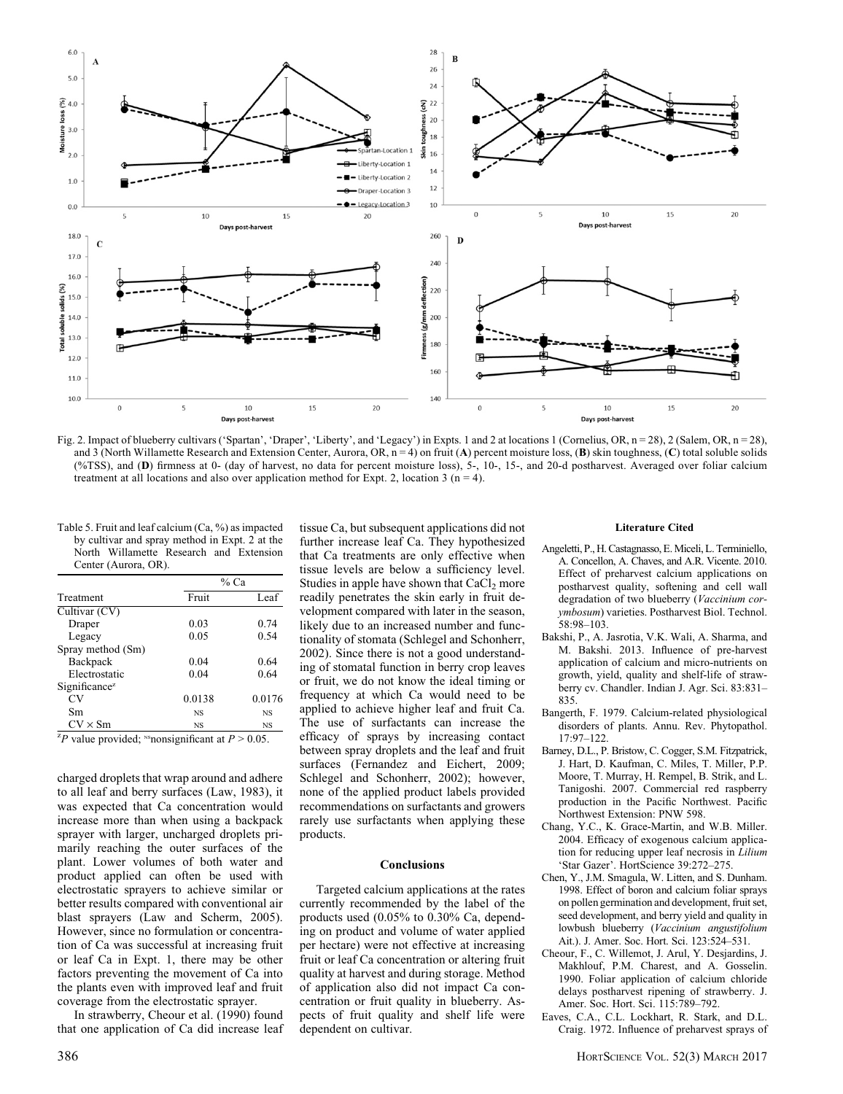

Fig. 2. Impact of blueberry cultivars ('Spartan', 'Draper', 'Liberty', and 'Legacy') in Expts. 1 and 2 at locations 1 (Cornelius, OR, n = 28), 2 (Salem, OR, n = 28), and 3 (North Willamette Research and Extension Center, Aurora, OR,  $n = 4$ ) on fruit (A) percent moisture loss, (B) skin toughness, (C) total soluble solids (%TSS), and (D) firmness at 0- (day of harvest, no data for percent moisture loss), 5-, 10-, 15-, and 20-d postharvest. Averaged over foliar calcium treatment at all locations and also over application method for Expt. 2, location 3 ( $n = 4$ ).

Table 5. Fruit and leaf calcium (Ca, %) as impacted by cultivar and spray method in Expt. 2 at the North Willamette Research and Extension Center (Aurora, OR).

|                                                      |           | % Ca   |  |  |
|------------------------------------------------------|-----------|--------|--|--|
| Treatment                                            | Fruit     | Leaf   |  |  |
| Cultivar (CV)                                        |           |        |  |  |
| Draper                                               | 0.03      | 0.74   |  |  |
| Legacy                                               | 0.05      | 0.54   |  |  |
| Spray method (Sm)                                    |           |        |  |  |
| Backpack                                             | 0.04      | 0.64   |  |  |
| Electrostatic                                        | 0.04      | 0.64   |  |  |
| Significance <sup>z</sup>                            |           |        |  |  |
| CV                                                   | 0.0138    | 0.0176 |  |  |
| Sm                                                   | <b>NS</b> | NS     |  |  |
| $CV \times Sm$                                       | <b>NS</b> | NS     |  |  |
| ${}^ZD$ value provided: Sponsimificant at $D > 0.05$ |           |        |  |  |

value provided;  $\text{``nonsegment at } P > 0.05$ .

charged droplets that wrap around and adhere to all leaf and berry surfaces (Law, 1983), it was expected that Ca concentration would increase more than when using a backpack sprayer with larger, uncharged droplets primarily reaching the outer surfaces of the plant. Lower volumes of both water and product applied can often be used with electrostatic sprayers to achieve similar or better results compared with conventional air blast sprayers (Law and Scherm, 2005). However, since no formulation or concentration of Ca was successful at increasing fruit or leaf Ca in Expt. 1, there may be other factors preventing the movement of Ca into the plants even with improved leaf and fruit coverage from the electrostatic sprayer.

In strawberry, Cheour et al. (1990) found that one application of Ca did increase leaf tissue Ca, but subsequent applications did not further increase leaf Ca. They hypothesized that Ca treatments are only effective when tissue levels are below a sufficiency level. Studies in apple have shown that  $CaCl<sub>2</sub>$  more readily penetrates the skin early in fruit development compared with later in the season, likely due to an increased number and functionality of stomata (Schlegel and Schonherr, 2002). Since there is not a good understanding of stomatal function in berry crop leaves or fruit, we do not know the ideal timing or frequency at which Ca would need to be applied to achieve higher leaf and fruit Ca. The use of surfactants can increase the efficacy of sprays by increasing contact between spray droplets and the leaf and fruit surfaces (Fernandez and Eichert, 2009; Schlegel and Schonherr, 2002); however, none of the applied product labels provided recommendations on surfactants and growers rarely use surfactants when applying these products.

#### Conclusions

Targeted calcium applications at the rates currently recommended by the label of the products used (0.05% to 0.30% Ca, depending on product and volume of water applied per hectare) were not effective at increasing fruit or leaf Ca concentration or altering fruit quality at harvest and during storage. Method of application also did not impact Ca concentration or fruit quality in blueberry. Aspects of fruit quality and shelf life were dependent on cultivar.

#### Literature Cited

- Angeletti, P., H. Castagnasso, E. Miceli, L. Terminiello, A. Concellon, A. Chaves, and A.R. Vicente. 2010. Effect of preharvest calcium applications on postharvest quality, softening and cell wall degradation of two blueberry (Vaccinium corymbosum) varieties. Postharvest Biol. Technol. 58:98–103.
- Bakshi, P., A. Jasrotia, V.K. Wali, A. Sharma, and M. Bakshi. 2013. Influence of pre-harvest application of calcium and micro-nutrients on growth, yield, quality and shelf-life of strawberry cv. Chandler. Indian J. Agr. Sci. 83:831– 835.
- Bangerth, F. 1979. Calcium-related physiological disorders of plants. Annu. Rev. Phytopathol. 17:97–122.
- Barney, D.L., P. Bristow, C. Cogger, S.M. Fitzpatrick, J. Hart, D. Kaufman, C. Miles, T. Miller, P.P. Moore, T. Murray, H. Rempel, B. Strik, and L. Tanigoshi. 2007. Commercial red raspberry production in the Pacific Northwest. Pacific Northwest Extension: PNW 598.
- Chang, Y.C., K. Grace-Martin, and W.B. Miller. 2004. Efficacy of exogenous calcium application for reducing upper leaf necrosis in Lilium 'Star Gazer'. HortScience 39:272–275.
- Chen, Y., J.M. Smagula, W. Litten, and S. Dunham. 1998. Effect of boron and calcium foliar sprays on pollen germination and development, fruit set, seed development, and berry yield and quality in lowbush blueberry (Vaccinium angustifolium Ait.). J. Amer. Soc. Hort. Sci. 123:524–531.
- Cheour, F., C. Willemot, J. Arul, Y. Desjardins, J. Makhlouf, P.M. Charest, and A. Gosselin. 1990. Foliar application of calcium chloride delays postharvest ripening of strawberry. J. Amer. Soc. Hort. Sci. 115:789–792.
- Eaves, C.A., C.L. Lockhart, R. Stark, and D.L. Craig. 1972. Influence of preharvest sprays of